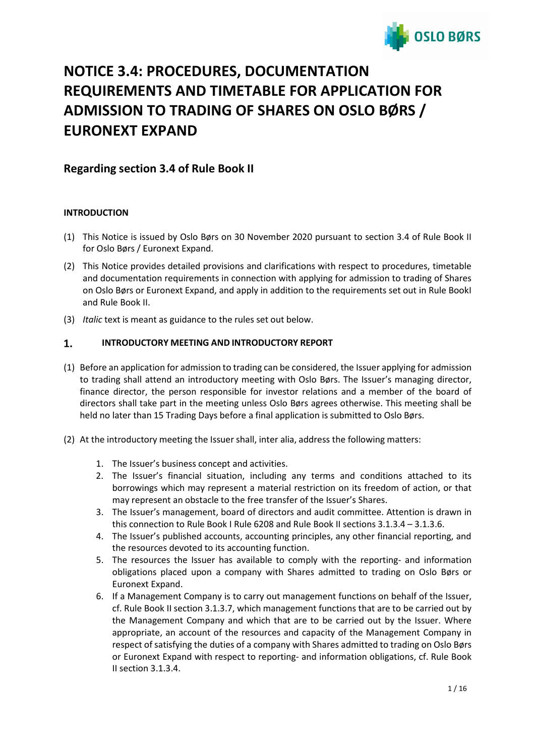

# **NOTICE 3.4: PROCEDURES, DOCUMENTATION REQUIREMENTS AND TIMETABLE FOR APPLICATION FOR ADMISSION TO TRADING OF SHARES ON OSLO BØRS / EURONEXT EXPAND**

# **Regarding section 3.4 of Rule Book II**

# **INTRODUCTION**

- (1) This Notice is issued by Oslo Børs on 30 November 2020 pursuant to section 3.4 of Rule Book II for Oslo Børs / Euronext Expand.
- (2) This Notice provides detailed provisions and clarifications with respect to procedures, timetable and documentation requirements in connection with applying for admission to trading of Shares on Oslo Børs or Euronext Expand, and apply in addition to the requirements set out in Rule BookI and Rule Book II.
- (3) *Italic* text is meant as guidance to the rules set out below.

### $1.$ **INTRODUCTORY MEETING AND INTRODUCTORY REPORT**

- (1) Before an application for admission to trading can be considered, the Issuer applying for admission to trading shall attend an introductory meeting with Oslo Børs. The Issuer's managing director, finance director, the person responsible for investor relations and a member of the board of directors shall take part in the meeting unless Oslo Børs agrees otherwise. This meeting shall be held no later than 15 Trading Days before a final application is submitted to Oslo Børs.
- (2) At the introductory meeting the Issuer shall, inter alia, address the following matters:
	- 1. The Issuer's business concept and activities.
	- 2. The Issuer's financial situation, including any terms and conditions attached to its borrowings which may represent a material restriction on its freedom of action, or that may represent an obstacle to the free transfer of the Issuer's Shares.
	- 3. The Issuer's management, board of directors and audit committee. Attention is drawn in this connection to Rule Book I Rule 6208 and Rule Book II sections 3.1.3.4 – 3.1.3.6.
	- 4. The Issuer's published accounts, accounting principles, any other financial reporting, and the resources devoted to its accounting function.
	- 5. The resources the Issuer has available to comply with the reporting- and information obligations placed upon a company with Shares admitted to trading on Oslo Børs or Euronext Expand.
	- 6. If a Management Company is to carry out management functions on behalf of the Issuer, cf. Rule Book II section 3.1.3.7, which management functions that are to be carried out by the Management Company and which that are to be carried out by the Issuer. Where appropriate, an account of the resources and capacity of the Management Company in respect of satisfying the duties of a company with Shares admitted to trading on Oslo Børs or Euronext Expand with respect to reporting- and information obligations, cf. Rule Book II section 3.1.3.4.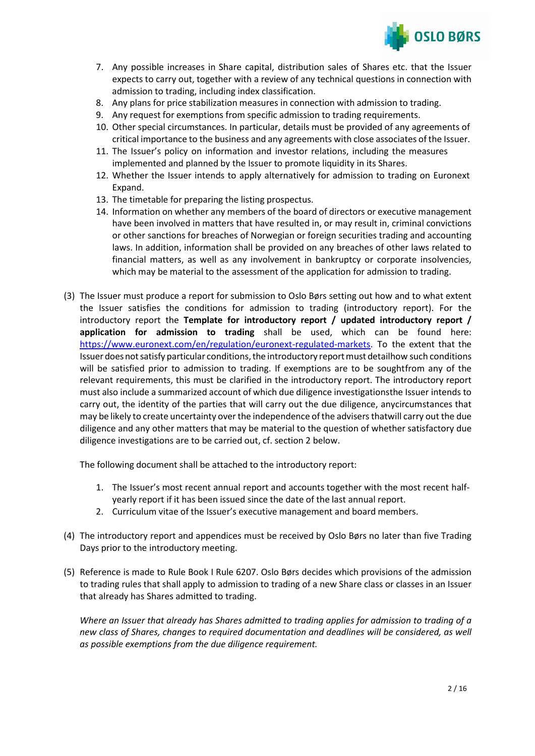

- 7. Any possible increases in Share capital, distribution sales of Shares etc. that the Issuer expects to carry out, together with a review of any technical questions in connection with admission to trading, including index classification.
- 8. Any plans for price stabilization measures in connection with admission to trading.
- 9. Any request for exemptions from specific admission to trading requirements.
- 10. Other special circumstances. In particular, details must be provided of any agreements of critical importance to the business and any agreements with close associates ofthe Issuer.
- 11. The Issuer's policy on information and investor relations, including the measures implemented and planned by the Issuer to promote liquidity in its Shares.
- 12. Whether the Issuer intends to apply alternatively for admission to trading on Euronext Expand.
- 13. The timetable for preparing the listing prospectus.
- 14. Information on whether any members of the board of directors or executive management have been involved in matters that have resulted in, or may result in, criminal convictions or other sanctions for breaches of Norwegian or foreign securities trading and accounting laws. In addition, information shall be provided on any breaches of other laws related to financial matters, as well as any involvement in bankruptcy or corporate insolvencies, which may be material to the assessment of the application for admission to trading.
- (3) The Issuer must produce a report for submission to Oslo Børs setting out how and to what extent the Issuer satisfies the conditions for admission to trading (introductory report). For the introductory report the **Template for introductory report / updated introductory report / application for admission to trading** shall be used, which can be found here: [https://www.euronext.com/en/regulation/euronext-regulated-markets.](https://www.euronext.com/en/regulation/euronext-regulated-markets) To the extent that the Issuer does not satisfy particular conditions, the introductory report must detailhow such conditions will be satisfied prior to admission to trading. If exemptions are to be soughtfrom any of the relevant requirements, this must be clarified in the introductory report. The introductory report must also include a summarized account of which due diligence investigationsthe Issuer intends to carry out, the identity of the parties that will carry out the due diligence, anycircumstances that may be likely to create uncertainty over the independence of the advisers thatwill carry out the due diligence and any other matters that may be material to the question of whether satisfactory due diligence investigations are to be carried out, cf. section 2 below.

The following document shall be attached to the introductory report:

- 1. The Issuer's most recent annual report and accounts together with the most recent halfyearly report if it has been issued since the date of the last annual report.
- 2. Curriculum vitae of the Issuer's executive management and board members.
- (4) The introductory report and appendices must be received by Oslo Børs no later than five Trading Days prior to the introductory meeting.
- (5) Reference is made to Rule Book I Rule 6207. Oslo Børs decides which provisions of the admission to trading rules that shall apply to admission to trading of a new Share class or classes in an Issuer that already has Shares admitted to trading.

*Where an Issuer that already has Shares admitted to trading applies for admission to trading of a new class of Shares, changes to required documentation and deadlines will be considered, as well as possible exemptions from the due diligence requirement.*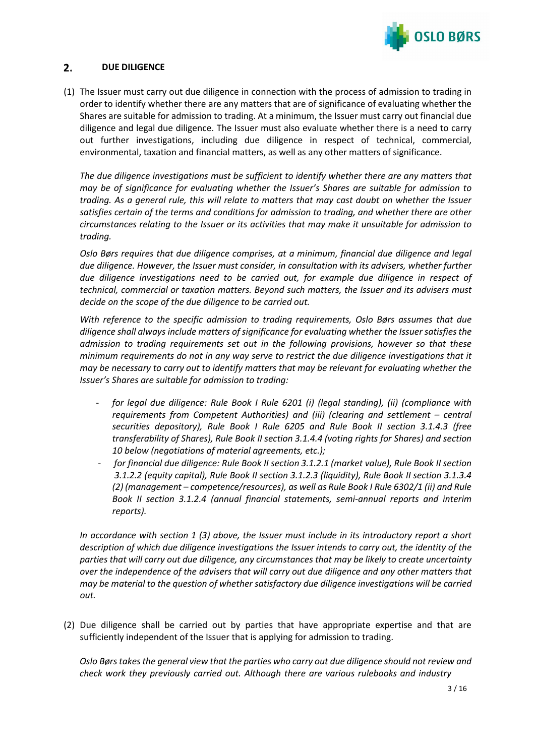

### **DUE DILIGENCE**  $2.$

(1) The Issuer must carry out due diligence in connection with the process of admission to trading in order to identify whether there are any matters that are of significance of evaluating whether the Shares are suitable for admission to trading. At a minimum, the Issuer must carry out financial due diligence and legal due diligence. The Issuer must also evaluate whether there is a need to carry out further investigations, including due diligence in respect of technical, commercial, environmental, taxation and financial matters, as well as any other matters of significance.

*The due diligence investigations must be sufficient to identify whether there are any matters that may be of significance for evaluating whether the Issuer's Shares are suitable for admission to trading. As a general rule, this will relate to matters that may cast doubt on whether the Issuer satisfies certain of the terms and conditions for admission to trading, and whether there are other circumstances relating to the Issuer or its activities that may make it unsuitable for admission to trading.*

*Oslo Børs requires that due diligence comprises, at a minimum, financial due diligence and legal due diligence. However, the Issuer must consider, in consultation with its advisers, whether further due diligence investigations need to be carried out, for example due diligence in respect of technical, commercial or taxation matters. Beyond such matters, the Issuer and its advisers must decide on the scope of the due diligence to be carried out.*

*With reference to the specific admission to trading requirements, Oslo Børs assumes that due diligence shall always include matters of significance for evaluating whether the Issuersatisfiesthe admission to trading requirements set out in the following provisions, however so that these minimum requirements do not in any way serve to restrict the due diligence investigations that it may be necessary to carry out to identify matters that may be relevant for evaluating whether the Issuer's Shares are suitable for admission to trading:*

- *for legal due diligence: Rule Book I Rule 6201 (i) (legal standing), (ii) (compliance with requirements from Competent Authorities) and (iii) (clearing and settlement – central securities depository), Rule Book I Rule 6205 and Rule Book II section 3.1.4.3 (free transferability of Shares), Rule Book II section 3.1.4.4 (voting rights for Shares) and section 10 below (negotiations of material agreements, etc.);*
- *for financial due diligence: Rule Book II section 3.1.2.1 (market value), Rule Book II section 3.1.2.2 (equity capital), Rule Book II section 3.1.2.3 (liquidity), Rule Book II section 3.1.3.4 (2) (management – competence/resources), as well as Rule Book I Rule 6302/1 (ii) and Rule Book II section 3.1.2.4 (annual financial statements, semi-annual reports and interim reports).*

*In accordance with section 1 (3) above, the Issuer must include in its introductory report a short description of which due diligence investigations the Issuer intends to carry out, the identity of the parties that will carry out due diligence, any circumstances that may be likely to create uncertainty over the independence of the advisers that will carry out due diligence and any other matters that may be material to the question of whether satisfactory due diligence investigations will be carried out.*

(2) Due diligence shall be carried out by parties that have appropriate expertise and that are sufficiently independent of the Issuer that is applying for admission to trading.

*Oslo Børs takes the general view that the parties who carry out due diligence should not review and check work they previously carried out. Although there are various rulebooks and industry*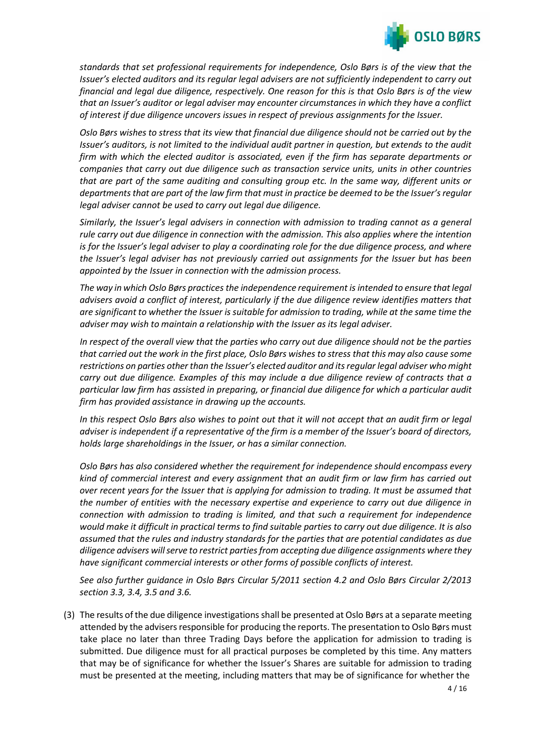

*standards that set professional requirements for independence, Oslo Børs is of the view that the Issuer's elected auditors and its regular legal advisers are not sufficiently independent to carry out financial and legal due diligence, respectively. One reason for this is that Oslo Børs is of the view that an Issuer's auditor or legal adviser may encounter circumstances in which they have a conflict of interest if due diligence uncovers issues in respect of previous assignments for the Issuer.*

Oslo Børs wishes to stress that its view that financial due diligence should not be carried out by the *Issuer's auditors, is not limited to the individual audit partner in question, but extends to the audit firm with which the elected auditor is associated, even if the firm has separate departments or companies that carry out due diligence such as transaction service units, units in other countries that are part of the same auditing and consulting group etc. In the same way, different units or departmentsthat are part of the law firm that must in practice be deemed to be the Issuer'sregular legal adviser cannot be used to carry out legal due diligence.*

*Similarly, the Issuer's legal advisers in connection with admission to trading cannot as a general rule carry out due diligence in connection with the admission. This also applies where the intention is for the Issuer's legal adviser to play a coordinating role for the due diligence process, and where the Issuer's legal adviser has not previously carried out assignments for the Issuer but has been appointed by the Issuer in connection with the admission process.*

*The way in which Oslo Børs practices the independence requirement isintended to ensure that legal advisers avoid a conflict of interest, particularly if the due diligence review identifies matters that are significant to whether the Issuer issuitable for admission to trading, while at the same time the adviser may wish to maintain a relationship with the Issuer as its legal adviser.*

In respect of the overall view that the parties who carry out due diligence should not be the parties that carried out the work in the first place, Oslo Børs wishes to stress that this may also cause some *restrictions on parties other than the Issuer's elected auditor and itsregular legal adviser who might carry out due diligence. Examples of this may include a due diligence review of contracts that a particular law firm has assisted in preparing, or financial due diligence for which a particular audit firm has provided assistance in drawing up the accounts.*

*In this respect Oslo Børs also wishes to point out that it will not accept that an audit firm or legal* adviser is independent if a representative of the firm is a member of the Issuer's board of directors, *holds large shareholdings in the Issuer, or has a similar connection.*

*Oslo Børs has also considered whether the requirement for independence should encompass every kind of commercial interest and every assignment that an audit firm or law firm has carried out over recent years for the Issuer that is applying for admission to trading. It must be assumed that the number of entities with the necessary expertise and experience to carry out due diligence in connection with admission to trading is limited, and that such a requirement for independence* would make it difficult in practical terms to find suitable parties to carry out due diligence. It is also *assumed that the rules and industry standards for the parties that are potential candidates as due diligence advisers willserve to restrict partiesfrom accepting due diligence assignments where they have significant commercial interests or other forms of possible conflicts of interest.*

*See also further guidance in Oslo Børs Circular 5/2011 section 4.2 and Oslo Børs Circular 2/2013 section 3.3, 3.4, 3.5 and 3.6.*

(3) The results of the due diligence investigationsshall be presented at Oslo Børs at a separate meeting attended by the advisers responsible for producing the reports. The presentation to Oslo Børs must take place no later than three Trading Days before the application for admission to trading is submitted. Due diligence must for all practical purposes be completed by this time. Any matters that may be of significance for whether the Issuer's Shares are suitable for admission to trading must be presented at the meeting, including matters that may be of significance for whether the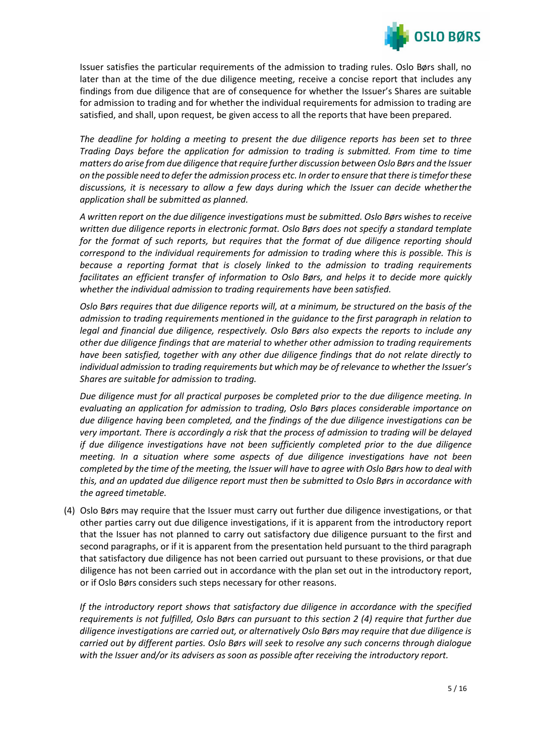

Issuer satisfies the particular requirements of the admission to trading rules. Oslo Børs shall, no later than at the time of the due diligence meeting, receive a concise report that includes any findings from due diligence that are of consequence for whether the Issuer's Shares are suitable for admission to trading and for whether the individual requirements for admission to trading are satisfied, and shall, upon request, be given access to all the reports that have been prepared.

*The deadline for holding a meeting to present the due diligence reports has been set to three Trading Days before the application for admission to trading is submitted. From time to time matters do arise from due diligence that require further discussion between Oslo Børs and the Issuer on the possible need to defer the admission process etc. In orderto ensure thatthere istimeforthese discussions, it is necessary to allow a few days during which the Issuer can decide whetherthe application shall be submitted as planned.*

*A written report on the due diligence investigations must be submitted. Oslo Børs wishes to receive written due diligence reports in electronic format. Oslo Børs does not specify a standard template for the format of such reports, but requires that the format of due diligence reporting should correspond to the individual requirements for admission to trading where this is possible. This is because a reporting format that is closely linked to the admission to trading requirements facilitates an efficient transfer of information to Oslo Børs, and helps it to decide more quickly whether the individual admission to trading requirements have been satisfied.*

*Oslo Børs requires that due diligence reports will, at a minimum, be structured on the basis of the admission to trading requirements mentioned in the guidance to the first paragraph in relation to legal and financial due diligence, respectively. Oslo Børs also expects the reports to include any other due diligence findings that are material to whether other admission to trading requirements have been satisfied, together with any other due diligence findings that do not relate directly to individual admission to trading requirements but which may be of relevance to whether the Issuer's Shares are suitable for admission to trading.*

*Due diligence must for all practical purposes be completed prior to the due diligence meeting. In evaluating an application for admission to trading, Oslo Børs places considerable importance on due diligence having been completed, and the findings of the due diligence investigations can be very important. There is accordingly a risk that the process of admission to trading will be delayed if due diligence investigations have not been sufficiently completed prior to the due diligence meeting. In a situation where some aspects of due diligence investigations have not been* completed by the time of the meeting, the Issuer will have to agree with Oslo Børs how to deal with *this, and an updated due diligence report must then be submitted to Oslo Børs in accordance with the agreed timetable.*

(4) Oslo Børs may require that the Issuer must carry out further due diligence investigations, or that other parties carry out due diligence investigations, if it is apparent from the introductory report that the Issuer has not planned to carry out satisfactory due diligence pursuant to the first and second paragraphs, or if it is apparent from the presentation held pursuant to the third paragraph that satisfactory due diligence has not been carried out pursuant to these provisions, or that due diligence has not been carried out in accordance with the plan set out in the introductory report, or if Oslo Børs considers such steps necessary for other reasons.

*If the introductory report shows that satisfactory due diligence in accordance with the specified requirements is not fulfilled, Oslo Børs can pursuant to this section 2 (4) require that further due diligence investigations are carried out, or alternatively Oslo Børs may require that due diligence is carried out by different parties. Oslo Børs will seek to resolve any such concerns through dialogue with the Issuer and/or its advisers as soon as possible after receiving the introductory report.*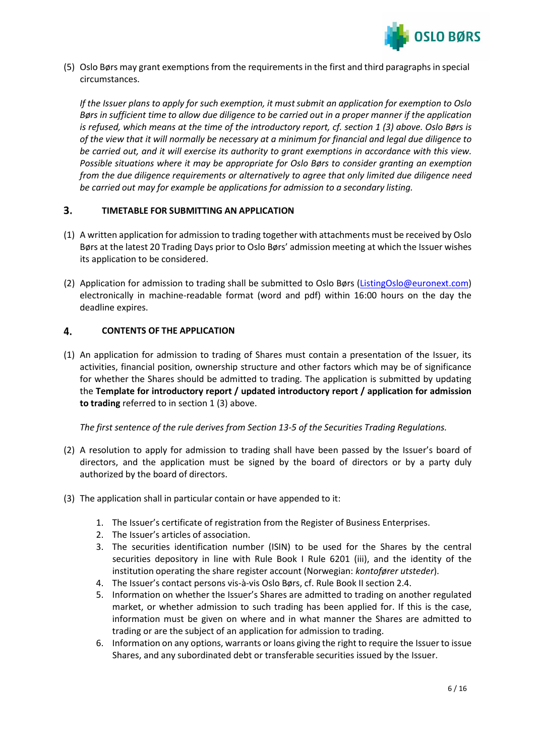

(5) Oslo Børs may grant exemptions from the requirements in the first and third paragraphs in special circumstances.

*If the Issuer plans to apply for such exemption, it mustsubmit an application for exemption to Oslo* Børs in sufficient time to allow due diligence to be carried out in a proper manner if the application *is refused, which means at the time of the introductory report, cf. section 1 (3) above. Oslo Børs is of the view that it will normally be necessary at a minimum for financial and legal due diligence to be carried out, and it will exercise its authority to grant exemptions in accordance with this view. Possible situations where it may be appropriate for Oslo Børs to consider granting an exemption from the due diligence requirements or alternatively to agree that only limited due diligence need be carried out may for example be applications for admission to a secondary listing.*

# **TIMETABLE FOR SUBMITTING AN APPLICATION**

- (1) A written application for admission to trading together with attachments must be received by Oslo Børs at the latest 20 Trading Days prior to Oslo Børs' admission meeting at which the Issuer wishes its application to be considered.
- (2) Application for admission to trading shall be submitted to Oslo Børs [\(ListingOslo@euronext.com\)](mailto:ListingOslo@euronext.com) electronically in machine-readable format (word and pdf) within 16:00 hours on the day the deadline expires.

### 4. **CONTENTS OF THE APPLICATION**

(1) An application for admission to trading of Shares must contain a presentation of the Issuer, its activities, financial position, ownership structure and other factors which may be of significance for whether the Shares should be admitted to trading. The application is submitted by updating the **Template for introductory report / updated introductory report / application for admission to trading** referred to in section 1 (3) above.

*The first sentence of the rule derives from Section 13-5 of the Securities Trading Regulations.*

- (2) A resolution to apply for admission to trading shall have been passed by the Issuer's board of directors, and the application must be signed by the board of directors or by a party duly authorized by the board of directors.
- (3) The application shall in particular contain or have appended to it:
	- 1. The Issuer's certificate of registration from the Register of Business Enterprises.
	- 2. The Issuer's articles of association.
	- 3. The securities identification number (ISIN) to be used for the Shares by the central securities depository in line with Rule Book I Rule 6201 (iii), and the identity of the institution operating the share register account (Norwegian: *kontofører utsteder*).
	- 4. The Issuer's contact persons vis-à-vis Oslo Børs, cf. Rule Book II section 2.4.
	- 5. Information on whether the Issuer's Shares are admitted to trading on another regulated market, or whether admission to such trading has been applied for. If this is the case, information must be given on where and in what manner the Shares are admitted to trading or are the subject of an application for admission to trading.
	- 6. Information on any options, warrants or loans giving the right to require the Issuerto issue Shares, and any subordinated debt or transferable securities issued by the Issuer.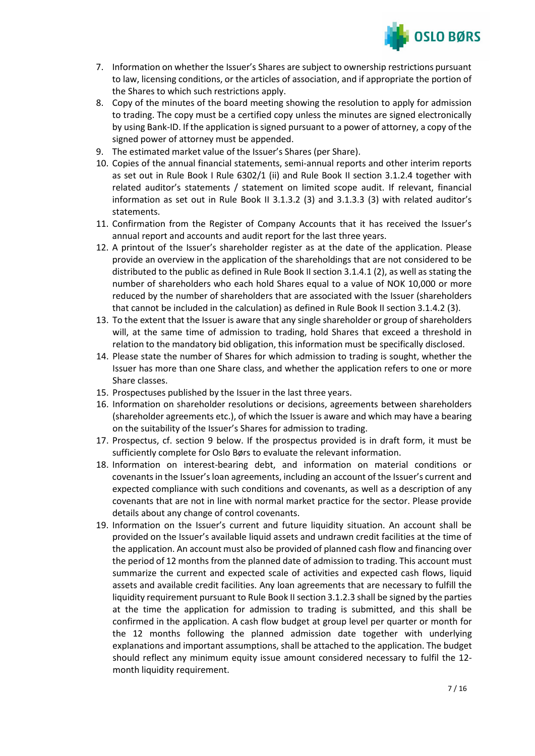

- 7. Information on whether the Issuer's Shares are subject to ownership restrictions pursuant to law, licensing conditions, or the articles of association, and if appropriate the portion of the Shares to which such restrictions apply.
- 8. Copy of the minutes of the board meeting showing the resolution to apply for admission to trading. The copy must be a certified copy unless the minutes are signed electronically by using Bank-ID. If the application issigned pursuant to a power of attorney, a copy of the signed power of attorney must be appended.
- 9. The estimated market value of the Issuer's Shares (per Share).
- 10. Copies of the annual financial statements, semi-annual reports and other interim reports as set out in Rule Book I Rule 6302/1 (ii) and Rule Book II section 3.1.2.4 together with related auditor's statements / statement on limited scope audit. If relevant, financial information as set out in Rule Book II 3.1.3.2 (3) and 3.1.3.3 (3) with related auditor's statements.
- 11. Confirmation from the Register of Company Accounts that it has received the Issuer's annual report and accounts and audit report for the last three years.
- 12. A printout of the Issuer's shareholder register as at the date of the application. Please provide an overview in the application of the shareholdings that are not considered to be distributed to the public as defined in Rule Book II section 3.1.4.1 (2), as well as stating the number of shareholders who each hold Shares equal to a value of NOK 10,000 or more reduced by the number of shareholders that are associated with the Issuer (shareholders that cannot be included in the calculation) as defined in Rule Book II section 3.1.4.2 (3).
- 13. To the extent that the Issuer is aware that any single shareholder or group of shareholders will, at the same time of admission to trading, hold Shares that exceed a threshold in relation to the mandatory bid obligation, this information must be specifically disclosed.
- 14. Please state the number of Shares for which admission to trading is sought, whether the Issuer has more than one Share class, and whether the application refers to one or more Share classes.
- 15. Prospectuses published by the Issuer in the last three years.
- 16. Information on shareholder resolutions or decisions, agreements between shareholders (shareholder agreements etc.), of which the Issuer is aware and which may have a bearing on the suitability of the Issuer's Shares for admission to trading.
- 17. Prospectus, cf. section 9 below. If the prospectus provided is in draft form, it must be sufficiently complete for Oslo Børs to evaluate the relevant information.
- 18. Information on interest-bearing debt, and information on material conditions or covenants in the Issuer's loan agreements, including an account of the Issuer's current and expected compliance with such conditions and covenants, as well as a description of any covenants that are not in line with normal market practice for the sector. Please provide details about any change of control covenants.
- 19. Information on the Issuer's current and future liquidity situation. An account shall be provided on the Issuer's available liquid assets and undrawn credit facilities at the time of the application. An account must also be provided of planned cash flow and financing over the period of 12 months from the planned date of admission to trading. This account must summarize the current and expected scale of activities and expected cash flows, liquid assets and available credit facilities. Any loan agreements that are necessary to fulfill the liquidity requirement pursuant to Rule Book II section 3.1.2.3 shall be signed by the parties at the time the application for admission to trading is submitted, and this shall be confirmed in the application. A cash flow budget at group level per quarter or month for the 12 months following the planned admission date together with underlying explanations and important assumptions, shall be attached to the application. The budget should reflect any minimum equity issue amount considered necessary to fulfil the 12 month liquidity requirement.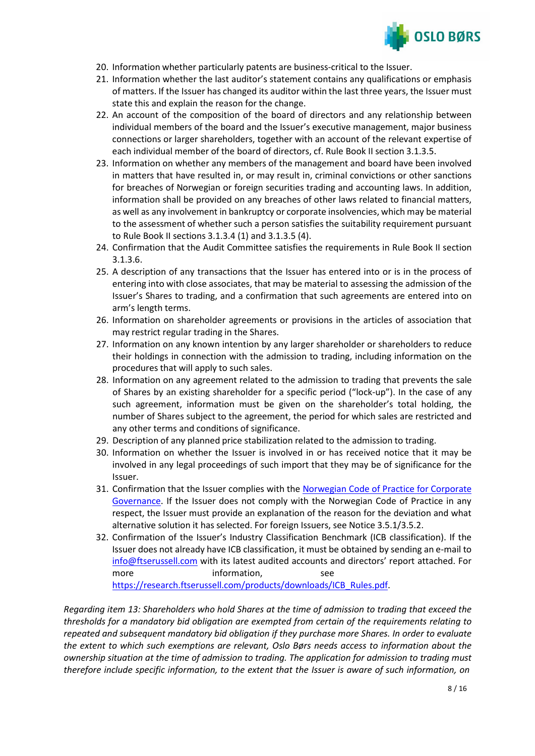

- 20. Information whether particularly patents are business-critical to the Issuer.
- 21. Information whether the last auditor's statement contains any qualifications or emphasis of matters. If the Issuer has changed its auditor within the last three years, the Issuer must state this and explain the reason for the change.
- 22. An account of the composition of the board of directors and any relationship between individual members of the board and the Issuer's executive management, major business connections or larger shareholders, together with an account of the relevant expertise of each individual member of the board of directors, cf. Rule Book II section 3.1.3.5.
- 23. Information on whether any members of the management and board have been involved in matters that have resulted in, or may result in, criminal convictions or other sanctions for breaches of Norwegian or foreign securities trading and accounting laws. In addition, information shall be provided on any breaches of other laws related to financial matters, as well as any involvement in bankruptcy or corporate insolvencies, which may be material to the assessment of whether such a person satisfies the suitability requirement pursuant to Rule Book II sections 3.1.3.4 (1) and 3.1.3.5 (4).
- 24. Confirmation that the Audit Committee satisfies the requirements in Rule Book II section 3.1.3.6.
- 25. A description of any transactions that the Issuer has entered into or is in the process of entering into with close associates, that may be material to assessing the admission of the Issuer's Shares to trading, and a confirmation that such agreements are entered into on arm's length terms.
- 26. Information on shareholder agreements or provisions in the articles of association that may restrict regular trading in the Shares.
- 27. Information on any known intention by any larger shareholder or shareholders to reduce their holdings in connection with the admission to trading, including information on the procedures that will apply to such sales.
- 28. Information on any agreement related to the admission to trading that prevents the sale of Shares by an existing shareholder for a specific period ("lock-up"). In the case of any such agreement, information must be given on the shareholder's total holding, the number of Shares subject to the agreement, the period for which sales are restricted and any other terms and conditions of significance.
- 29. Description of any planned price stabilization related to the admission to trading.
- 30. Information on whether the Issuer is involved in or has received notice that it may be involved in any legal proceedings of such import that they may be of significance for the Issuer.
- 31. Confirmation that the Issuer complies with the [Norwegian Code of Practice for Corporate](https://nues.no/english/) [Governance.](https://nues.no/english/) If the Issuer does not comply with the Norwegian Code of Practice in any respect, the Issuer must provide an explanation of the reason for the deviation and what alternative solution it has selected. For foreign Issuers, see Notice 3.5.1/3.5.2.
- 32. Confirmation of the Issuer's Industry Classification Benchmark (ICB classification). If the Issuer does not already have ICB classification, it must be obtained by sending an e-mail to [info@ftserussell.com](mailto:info@ftserussell.com) with its latest audited accounts and directors' report attached. For more information, see [https://research.ftserussell.com/products/downloads/ICB\\_Rules.pdf.](https://research.ftserussell.com/products/downloads/ICB_Rules.pdf)

*Regarding item 13: Shareholders who hold Shares at the time of admission to trading that exceed the thresholds for a mandatory bid obligation are exempted from certain of the requirements relating to repeated and subsequent mandatory bid obligation if they purchase more Shares. In order to evaluate the extent to which such exemptions are relevant, Oslo Børs needs access to information about the ownership situation at the time of admission to trading. The application for admission to trading must therefore include specific information, to the extent that the Issuer is aware of such information, on*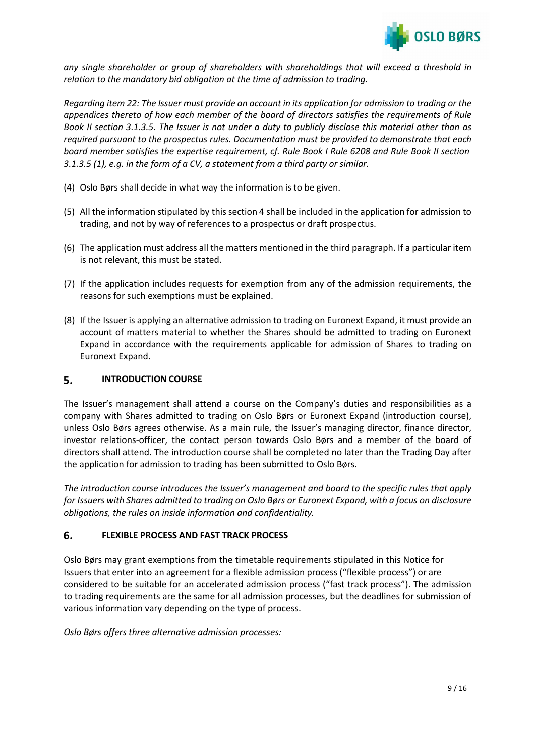

*any single shareholder or group of shareholders with shareholdings that will exceed a threshold in relation to the mandatory bid obligation at the time of admission to trading.*

Regarding item 22: The Issuer must provide an account in its application for admission to trading or the *appendices thereto of how each member of the board of directors satisfies the requirements of Rule Book II section 3.1.3.5. The Issuer is not under a duty to publicly disclose this material other than as required pursuant to the prospectus rules. Documentation must be provided to demonstrate that each board member satisfies the expertise requirement, cf. Rule Book I Rule 6208 and Rule Book II section 3.1.3.5 (1), e.g. in the form of a CV, a statement from a third party or similar.*

- (4) Oslo Børs shall decide in what way the information is to be given.
- (5) All the information stipulated by this section 4 shall be included in the application for admission to trading, and not by way of references to a prospectus or draft prospectus.
- (6) The application must address all the matters mentioned in the third paragraph. If a particular item is not relevant, this must be stated.
- (7) If the application includes requests for exemption from any of the admission requirements, the reasons for such exemptions must be explained.
- (8) If the Issuer is applying an alternative admission to trading on Euronext Expand, it must provide an account of matters material to whether the Shares should be admitted to trading on Euronext Expand in accordance with the requirements applicable for admission of Shares to trading on Euronext Expand.

#### 5. **INTRODUCTION COURSE**

The Issuer's management shall attend a course on the Company's duties and responsibilities as a company with Shares admitted to trading on Oslo Børs or Euronext Expand (introduction course), unless Oslo Børs agrees otherwise. As a main rule, the Issuer's managing director, finance director, investor relations-officer, the contact person towards Oslo Børs and a member of the board of directors shall attend. The introduction course shall be completed no later than the Trading Day after the application for admission to trading has been submitted to Oslo Børs.

*The introduction course introduces the Issuer's management and board to the specific rules that apply* for Issuers with Shares admitted to trading on Oslo Børs or Euronext Expand, with a focus on disclosure *obligations, the rules on inside information and confidentiality.*

# **FLEXIBLE PROCESS AND FAST TRACK PROCESS**

Oslo Børs may grant exemptions from the timetable requirements stipulated in this Notice for Issuers that enter into an agreement for a flexible admission process ("flexible process") or are considered to be suitable for an accelerated admission process ("fast track process"). The admission to trading requirements are the same for all admission processes, but the deadlines for submission of various information vary depending on the type of process.

*Oslo Børs offers three alternative admission processes:*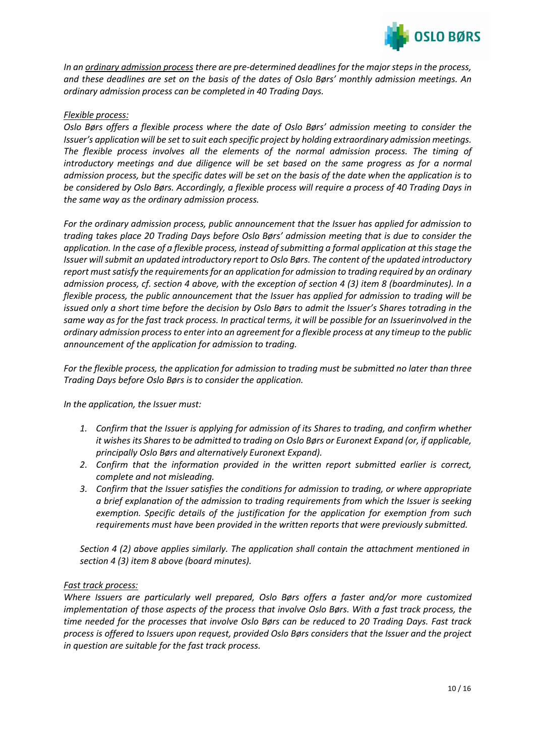

*In an ordinary admission process there are pre-determined deadlines for the majorstepsin the process, and these deadlines are set on the basis of the dates of Oslo Børs' monthly admission meetings. An ordinary admission process can be completed in 40 Trading Days.*

# *Flexible process:*

*Oslo Børs offers a flexible process where the date of Oslo Børs' admission meeting to consider the Issuer's application will be set to suit each specific project by holding extraordinary admission meetings. The flexible process involves all the elements of the normal admission process. The timing of introductory meetings and due diligence will be set based on the same progress as for a normal admission process, but the specific dates will be set on the basis of the date when the application is to be considered by Oslo Børs. Accordingly, a flexible process will require a process of 40 Trading Days in the same way as the ordinary admission process.*

*For the ordinary admission process, public announcement that the Issuer has applied for admission to trading takes place 20 Trading Days before Oslo Børs' admission meeting that is due to consider the application. In the case of a flexible process, instead of submitting a formal application at this stage the Issuer will submit an updated introductory report to Oslo Børs. The content of the updated introductory report must satisfy the requirements for an application for admission to trading required by an ordinary admission process, cf. section 4 above, with the exception of section 4 (3) item 8 (boardminutes). In a flexible process, the public announcement that the Issuer has applied for admission to trading will be issued only a short time before the decision by Oslo Børs to admit the Issuer's Shares totrading in the* same way as for the fast track process. In practical terms, it will be possible for an Issuerinvolved in the *ordinary admission processto enter into an agreement for a flexible process at any timeup to the public announcement of the application for admission to trading.*

*For the flexible process, the application for admission to trading must be submitted no later than three Trading Days before Oslo Børs is to consider the application.*

*In the application, the Issuer must:*

- *1. Confirm that the Issuer is applying for admission of its Shares to trading, and confirm whether it wishes its Sharesto be admitted to trading on Oslo Børs or Euronext Expand (or, if applicable, principally Oslo Børs and alternatively Euronext Expand).*
- *2. Confirm that the information provided in the written report submitted earlier is correct, complete and not misleading.*
- *3. Confirm that the Issuer satisfies the conditions for admission to trading, or where appropriate a brief explanation of the admission to trading requirements from which the Issuer is seeking exemption. Specific details of the justification for the application for exemption from such requirements must have been provided in the written reports that were previously submitted.*

*Section 4 (2) above applies similarly. The application shall contain the attachment mentioned in section 4 (3) item 8 above (board minutes).*

# *Fast track process:*

*Where Issuers are particularly well prepared, Oslo Børs offers a faster and/or more customized implementation of those aspects of the process that involve Oslo Børs. With a fast track process, the time needed for the processes that involve Oslo Børs can be reduced to 20 Trading Days. Fast track process is offered to Issuers upon request, provided Oslo Børs considers that the Issuer and the project in question are suitable for the fast track process.*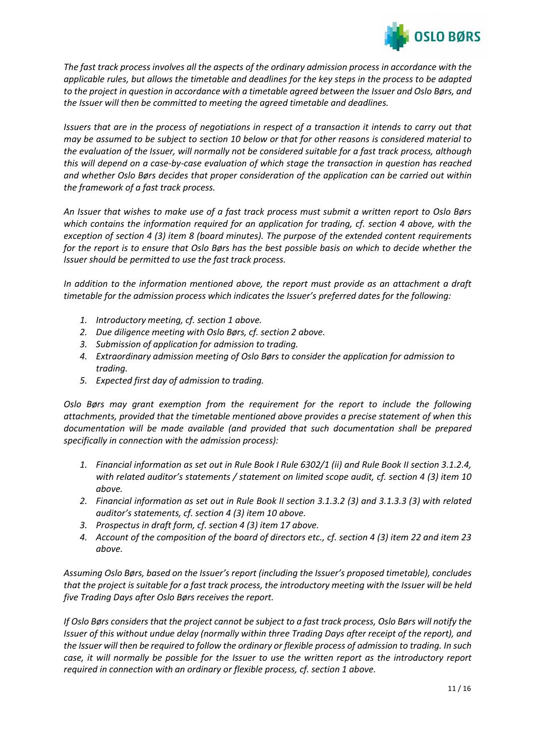

*The fast track process involves all the aspects of the ordinary admission process in accordance with the applicable rules, but allows the timetable and deadlines for the key steps in the process to be adapted* to the project in question in accordance with a timetable agreed between the Issuer and Oslo Børs, and *the Issuer will then be committed to meeting the agreed timetable and deadlines.*

*Issuers that are in the process of negotiations in respect of a transaction it intends to carry out that may be assumed to be subject to section 10 below or that for other reasons is considered material to the evaluation of the Issuer, will normally not be considered suitable for a fast track process, although this will depend on a case-by-case evaluation of which stage the transaction in question has reached and whether Oslo Børs decides that proper consideration of the application can be carried out within the framework of a fast track process.*

*An Issuer that wishes to make use of a fast track process must submit a written report to Oslo Børs which contains the information required for an application for trading, cf. section 4 above, with the exception of section 4 (3) item 8 (board minutes). The purpose of the extended content requirements for the report is to ensure that Oslo Børs has the best possible basis on which to decide whether the Issuer should be permitted to use the fast track process.*

*In addition to the information mentioned above, the report must provide as an attachment a draft timetable for the admission process which indicates the Issuer's preferred dates for the following:*

- *1. Introductory meeting, cf. section 1 above.*
- *2. Due diligence meeting with Oslo Børs, cf. section 2 above.*
- *3. Submission of application for admission to trading.*
- *4. Extraordinary admission meeting of Oslo Børs to consider the application for admission to trading.*
- *5. Expected first day of admission to trading.*

*Oslo Børs may grant exemption from the requirement for the report to include the following attachments, provided that the timetable mentioned above provides a precise statement of when this documentation will be made available (and provided that such documentation shall be prepared specifically in connection with the admission process):*

- 1. Financial information as set out in Rule Book I Rule 6302/1 (ii) and Rule Book II section 3.1.2.4, *with related auditor's statements / statement on limited scope audit, cf. section 4 (3) item 10 above.*
- *2. Financial information as set out in Rule Book II section 3.1.3.2 (3) and 3.1.3.3 (3) with related auditor's statements, cf. section 4 (3) item 10 above.*
- *3. Prospectus in draft form, cf. section 4 (3) item 17 above.*
- *4. Account of the composition of the board of directors etc., cf. section 4 (3) item 22 and item 23 above.*

*Assuming Oslo Børs, based on the Issuer's report (including the Issuer's proposed timetable), concludes* that the project is suitable for a fast track process, the introductory meeting with the Issuer will be held *five Trading Days after Oslo Børs receives the report.*

If Oslo Børs considers that the project cannot be subject to a fast track process, Oslo Børs will notify the *Issuer of this without undue delay (normally within three Trading Days after receipt of the report), and* the Issuer will then be required to follow the ordinary or flexible process of admission to trading. In such *case, it will normally be possible for the Issuer to use the written report as the introductory report required in connection with an ordinary or flexible process, cf. section 1 above.*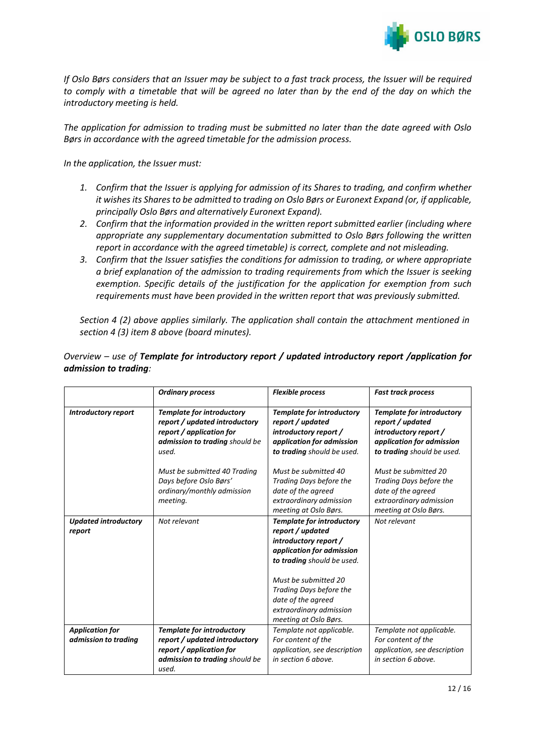

*If Oslo Børs considers that an Issuer may be subject to a fast track process, the Issuer will be required to comply with a timetable that will be agreed no later than by the end of the day on which the introductory meeting is held.*

*The application for admission to trading must be submitted no later than the date agreed with Oslo Børs in accordance with the agreed timetable for the admission process.*

*In the application, the Issuer must:*

- *1. Confirm that the Issuer is applying for admission of its Shares to trading, and confirm whether it wishes its Sharesto be admitted to trading on Oslo Børs or Euronext Expand (or, if applicable, principally Oslo Børs and alternatively Euronext Expand).*
- *2. Confirm that the information provided in the written report submitted earlier (including where appropriate any supplementary documentation submitted to Oslo Børs following the written report in accordance with the agreed timetable) is correct, complete and not misleading.*
- *3. Confirm that the Issuer satisfies the conditions for admission to trading, or where appropriate a brief explanation of the admission to trading requirements from which the Issuer is seeking exemption. Specific details of the justification for the application for exemption from such requirements must have been provided in the written report that was previously submitted.*

*Section 4 (2) above applies similarly. The application shall contain the attachment mentioned in section 4 (3) item 8 above (board minutes).*

|                                                | <b>Ordinary process</b>                                                                                                                  | <b>Flexible process</b>                                                                                                                                                                                                                                               | <b>Fast track process</b>                                                                                                                |
|------------------------------------------------|------------------------------------------------------------------------------------------------------------------------------------------|-----------------------------------------------------------------------------------------------------------------------------------------------------------------------------------------------------------------------------------------------------------------------|------------------------------------------------------------------------------------------------------------------------------------------|
| <b>Introductory report</b>                     | <b>Template for introductory</b><br>report / updated introductory<br>report / application for<br>admission to trading should be<br>used. | <b>Template for introductory</b><br>report / updated<br>introductory report /<br>application for admission<br>to trading should be used.                                                                                                                              | <b>Template for introductory</b><br>report / updated<br>introductory report /<br>application for admission<br>to trading should be used. |
|                                                | Must be submitted 40 Trading<br>Days before Oslo Børs'<br>ordinary/monthly admission<br>meeting.                                         | Must be submitted 40<br>Trading Days before the<br>date of the agreed<br>extraordinary admission<br>meeting at Oslo Børs.                                                                                                                                             | Must be submitted 20<br>Trading Days before the<br>date of the agreed<br>extraordinary admission<br>meeting at Oslo Børs.                |
| <b>Updated introductory</b><br>report          | Not relevant                                                                                                                             | <b>Template for introductory</b><br>report / updated<br>introductory report /<br>application for admission<br>to trading should be used.<br>Must be submitted 20<br>Trading Days before the<br>date of the agreed<br>extraordinary admission<br>meeting at Oslo Børs. | Not relevant                                                                                                                             |
| <b>Application for</b><br>admission to trading | <b>Template for introductory</b><br>report / updated introductory<br>report / application for<br>admission to trading should be<br>used. | Template not applicable.<br>For content of the<br>application, see description<br>in section 6 above.                                                                                                                                                                 | Template not applicable.<br>For content of the<br>application, see description<br>in section 6 above.                                    |

# *Overview – use of Template for introductory report / updated introductory report /application for admission to trading:*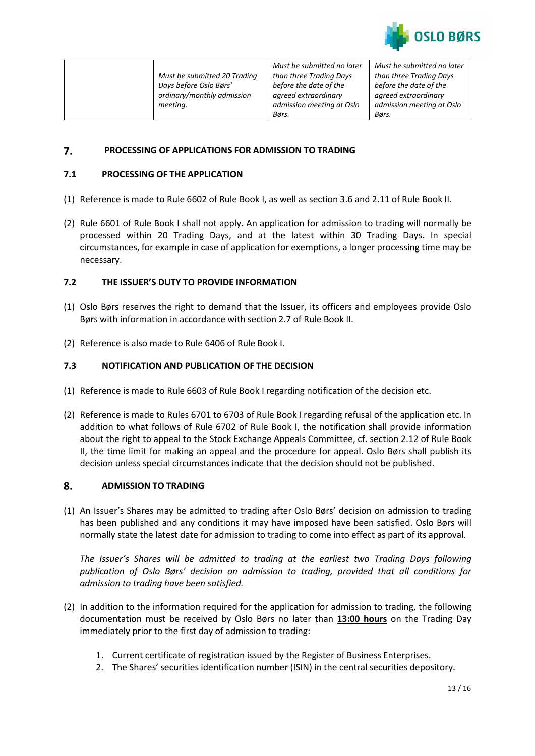

|                              | Must be submitted no later | Must be submitted no later |
|------------------------------|----------------------------|----------------------------|
| Must be submitted 20 Trading | than three Trading Days    | than three Trading Days    |
| Days before Oslo Børs'       | before the date of the     | before the date of the     |
| ordinary/monthly admission   | agreed extraordinary       | agreed extraordinary       |
| meeting.                     | admission meeting at Oslo  | admission meeting at Oslo  |
|                              | Børs.                      | Børs.                      |

#### 7. **PROCESSING OF APPLICATIONS FOR ADMISSION TO TRADING**

### **7.1 PROCESSING OF THE APPLICATION**

- (1) Reference is made to Rule 6602 of Rule Book I, as well as section 3.6 and 2.11 of Rule Book II.
- (2) Rule 6601 of Rule Book I shall not apply. An application for admission to trading will normally be processed within 20 Trading Days, and at the latest within 30 Trading Days. In special circumstances, for example in case of application for exemptions, a longer processing time may be necessary.

### **7.2 THE ISSUER'S DUTY TO PROVIDE INFORMATION**

- (1) Oslo Børs reserves the right to demand that the Issuer, its officers and employees provide Oslo Børs with information in accordance with section 2.7 of Rule Book II.
- (2) Reference is also made to Rule 6406 of Rule Book I.

### **7.3 NOTIFICATION AND PUBLICATION OF THE DECISION**

- (1) Reference is made to Rule 6603 of Rule Book I regarding notification of the decision etc.
- (2) Reference is made to Rules 6701 to 6703 of Rule Book I regarding refusal of the application etc. In addition to what follows of Rule 6702 of Rule Book I, the notification shall provide information about the right to appeal to the Stock Exchange Appeals Committee, cf. section 2.12 of Rule Book II, the time limit for making an appeal and the procedure for appeal. Oslo Børs shall publish its decision unless special circumstances indicate that the decision should not be published.

### **ADMISSION TO TRADING**

(1) An Issuer's Shares may be admitted to trading after Oslo Børs' decision on admission to trading has been published and any conditions it may have imposed have been satisfied. Oslo Børs will normally state the latest date for admission to trading to come into effect as part of its approval.

*The Issuer's Shares will be admitted to trading at the earliest two Trading Days following publication of Oslo Børs' decision on admission to trading, provided that all conditions for admission to trading have been satisfied.*

- (2) In addition to the information required for the application for admission to trading, the following documentation must be received by Oslo Børs no later than **13:00 hours** on the Trading Day immediately prior to the first day of admission to trading:
	- 1. Current certificate of registration issued by the Register of Business Enterprises.
	- 2. The Shares' securities identification number (ISIN) in the central securities depository.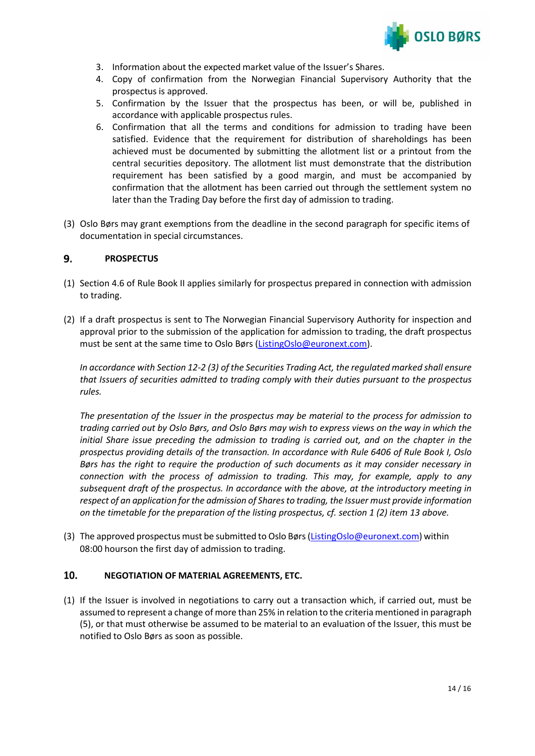

- 3. Information about the expected market value of the Issuer's Shares.
- 4. Copy of confirmation from the Norwegian Financial Supervisory Authority that the prospectus is approved.
- 5. Confirmation by the Issuer that the prospectus has been, or will be, published in accordance with applicable prospectus rules.
- 6. Confirmation that all the terms and conditions for admission to trading have been satisfied. Evidence that the requirement for distribution of shareholdings has been achieved must be documented by submitting the allotment list or a printout from the central securities depository. The allotment list must demonstrate that the distribution requirement has been satisfied by a good margin, and must be accompanied by confirmation that the allotment has been carried out through the settlement system no later than the Trading Day before the first day of admission to trading.
- (3) Oslo Børs may grant exemptions from the deadline in the second paragraph for specific items of documentation in special circumstances.

# **PROSPECTUS**

- (1) Section 4.6 of Rule Book II applies similarly for prospectus prepared in connection with admission to trading.
- (2) If a draft prospectus is sent to The Norwegian Financial Supervisory Authority for inspection and approval prior to the submission of the application for admission to trading, the draft prospectus must be sent at the same time to Oslo Børs [\(ListingOslo@euronext.com\)](mailto:ListingOslo@euronext.com).

*In accordance with Section 12-2 (3) of the Securities Trading Act, the regulated marked shall ensure that Issuers of securities admitted to trading comply with their duties pursuant to the prospectus rules.*

*The presentation of the Issuer in the prospectus may be material to the process for admission to trading carried out by Oslo Børs, and Oslo Børs may wish to express views on the way in which the initial Share issue preceding the admission to trading is carried out, and on the chapter in the prospectus providing details of the transaction. In accordance with Rule 6406 of Rule Book I, Oslo Børs has the right to require the production of such documents as it may consider necessary in connection with the process of admission to trading. This may, for example, apply to any subsequent draft of the prospectus. In accordance with the above, at the introductory meeting in respect of an application for the admission of Sharesto trading, the Issuer must provide information on the timetable for the preparation of the listing prospectus, cf. section 1 (2) item 13 above.*

(3) The approved prospectus must be submitted to Oslo Børs [\(ListingOslo@euronext.com\)](mailto:ListingOslo@euronext.com) within 08:00 hourson the first day of admission to trading.

# **NEGOTIATION OF MATERIAL AGREEMENTS, ETC.**

(1) If the Issuer is involved in negotiations to carry out a transaction which, if carried out, must be assumed to represent a change of more than 25% in relation to the criteria mentioned in paragraph (5), or that must otherwise be assumed to be material to an evaluation of the Issuer, this must be notified to Oslo Børs as soon as possible.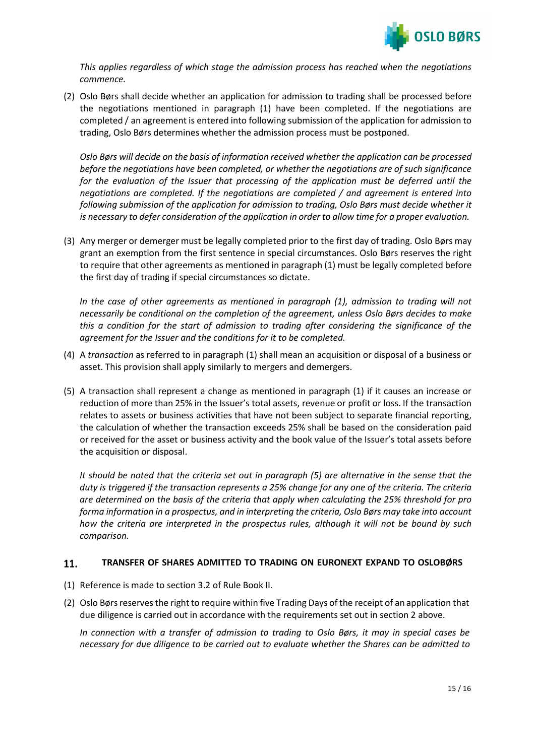

*This applies regardless of which stage the admission process has reached when the negotiations commence.*

(2) Oslo Børs shall decide whether an application for admission to trading shall be processed before the negotiations mentioned in paragraph (1) have been completed. If the negotiations are completed / an agreement is entered into following submission of the application for admission to trading, Oslo Børs determines whether the admission process must be postponed.

*Oslo Børs will decide on the basis of information received whether the application can be processed before the negotiations have been completed, or whether the negotiations are of such significance for the evaluation of the Issuer that processing of the application must be deferred until the negotiations are completed. If the negotiations are completed / and agreement is entered into following submission of the application for admission to trading, Oslo Børs must decide whether it is necessary to defer consideration of the application in order to allow time for a proper evaluation.*

(3) Any merger or demerger must be legally completed prior to the first day of trading. Oslo Børs may grant an exemption from the first sentence in special circumstances. Oslo Børs reserves the right to require that other agreements as mentioned in paragraph (1) must be legally completed before the first day of trading if special circumstances so dictate.

*In the case of other agreements as mentioned in paragraph (1), admission to trading will not necessarily be conditional on the completion of the agreement, unless Oslo Børs decides to make this a condition for the start of admission to trading after considering the significance of the agreement for the Issuer and the conditions for it to be completed.*

- (4) A *transaction* as referred to in paragraph (1) shall mean an acquisition or disposal of a business or asset. This provision shall apply similarly to mergers and demergers.
- (5) A transaction shall represent a change as mentioned in paragraph (1) if it causes an increase or reduction of more than 25% in the Issuer's total assets, revenue or profit or loss. If the transaction relates to assets or business activities that have not been subject to separate financial reporting, the calculation of whether the transaction exceeds 25% shall be based on the consideration paid or received for the asset or business activity and the book value of the Issuer's total assets before the acquisition or disposal.

*It should be noted that the criteria set out in paragraph (5) are alternative in the sense that the* duty is triggered if the transaction represents a 25% change for any one of the criteria. The criteria *are determined on the basis of the criteria that apply when calculating the 25% threshold for pro forma information in a prospectus, and in interpreting the criteria, Oslo Børs may take into account how the criteria are interpreted in the prospectus rules, although it will not be bound by such comparison.*

#### 11. **TRANSFER OF SHARES ADMITTED TO TRADING ON EURONEXT EXPAND TO OSLOBØRS**

- (1) Reference is made to section 3.2 of Rule Book II.
- (2) Oslo Børs reserves the right to require within five Trading Days of the receipt of an application that due diligence is carried out in accordance with the requirements set out in section 2 above.

*In connection with a transfer of admission to trading to Oslo Børs, it may in special cases be necessary for due diligence to be carried out to evaluate whether the Shares can be admitted to*